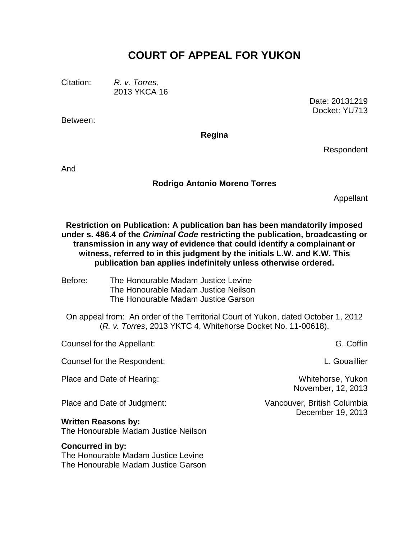# **COURT OF APPEAL FOR YUKON**

Citation: *R. v. Torres*,

2013 YKCA 16

Between:

Date: 20131219 Docket: YU713

**Regina**

Respondent

And

### **Rodrigo Antonio Moreno Torres**

Appellant

**Restriction on Publication: A publication ban has been mandatorily imposed under s. 486.4 of the** *Criminal Code* **restricting the publication, broadcasting or transmission in any way of evidence that could identify a complainant or witness, referred to in this judgment by the initials L.W. and K.W. This publication ban applies indefinitely unless otherwise ordered.**

Before: The Honourable Madam Justice Levine The Honourable Madam Justice Neilson The Honourable Madam Justice Garson

On appeal from: An order of the Territorial Court of Yukon, dated October 1, 2012 (*R. v. Torres*, 2013 YKTC 4, Whitehorse Docket No. 11-00618).

| Counsel for the Appellant:                                         | G. Coffin                                        |
|--------------------------------------------------------------------|--------------------------------------------------|
| Counsel for the Respondent:                                        | L. Gouaillier                                    |
| Place and Date of Hearing:                                         | Whitehorse, Yukon<br>November, 12, 2013          |
| Place and Date of Judgment:                                        | Vancouver, British Columbia<br>December 19, 2013 |
| <b>Written Reasons by:</b><br>The Honourable Madam Justice Neilson |                                                  |
| <b>Concurred in by:</b>                                            |                                                  |

The Honourable Madam Justice Levine The Honourable Madam Justice Garson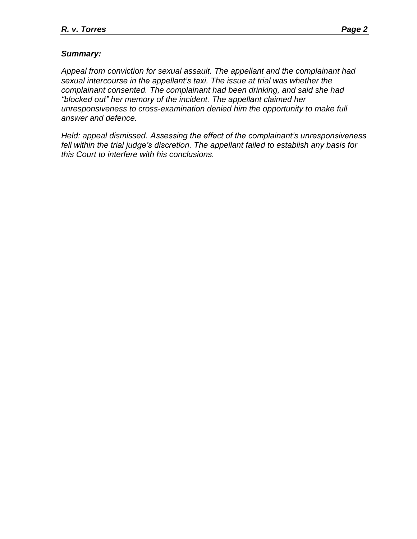## *Summary:*

*Appeal from conviction for sexual assault. The appellant and the complainant had sexual intercourse in the appellant's taxi. The issue at trial was whether the complainant consented. The complainant had been drinking, and said she had "blocked out" her memory of the incident. The appellant claimed her unresponsiveness to cross-examination denied him the opportunity to make full answer and defence.*

*Held: appeal dismissed. Assessing the effect of the complainant's unresponsiveness fell within the trial judge's discretion. The appellant failed to establish any basis for this Court to interfere with his conclusions.*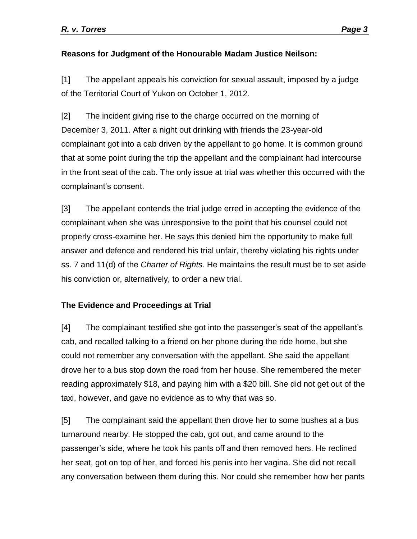## **Reasons for Judgment of the Honourable Madam Justice Neilson:**

[1] The appellant appeals his conviction for sexual assault, imposed by a judge of the Territorial Court of Yukon on October 1, 2012.

[2] The incident giving rise to the charge occurred on the morning of December 3, 2011. After a night out drinking with friends the 23-year-old complainant got into a cab driven by the appellant to go home. It is common ground that at some point during the trip the appellant and the complainant had intercourse in the front seat of the cab. The only issue at trial was whether this occurred with the complainant's consent.

[3] The appellant contends the trial judge erred in accepting the evidence of the complainant when she was unresponsive to the point that his counsel could not properly cross-examine her. He says this denied him the opportunity to make full answer and defence and rendered his trial unfair, thereby violating his rights under ss. 7 and 11(d) of the *Charter of Rights*. He maintains the result must be to set aside his conviction or, alternatively, to order a new trial.

# **The Evidence and Proceedings at Trial**

[4] The complainant testified she got into the passenger's seat of the appellant's cab, and recalled talking to a friend on her phone during the ride home, but she could not remember any conversation with the appellant. She said the appellant drove her to a bus stop down the road from her house. She remembered the meter reading approximately \$18, and paying him with a \$20 bill. She did not get out of the taxi, however, and gave no evidence as to why that was so.

[5] The complainant said the appellant then drove her to some bushes at a bus turnaround nearby. He stopped the cab, got out, and came around to the passenger's side, where he took his pants off and then removed hers. He reclined her seat, got on top of her, and forced his penis into her vagina. She did not recall any conversation between them during this. Nor could she remember how her pants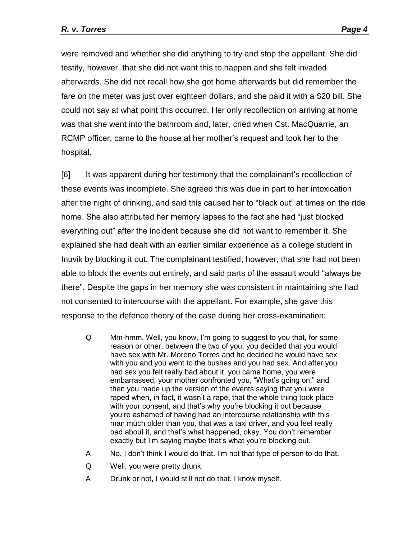were removed and whether she did anything to try and stop the appellant. She did testify, however, that she did not want this to happen and she felt invaded afterwards. She did not recall how she got home afterwards but did remember the fare on the meter was just over eighteen dollars, and she paid it with a \$20 bill. She could not say at what point this occurred. Her only recollection on arriving at home was that she went into the bathroom and, later, cried when Cst. MacQuarrie, an RCMP officer, came to the house at her mother's request and took her to the hospital.

[6] It was apparent during her testimony that the complainant's recollection of these events was incomplete. She agreed this was due in part to her intoxication after the night of drinking, and said this caused her to "black out" at times on the ride home. She also attributed her memory lapses to the fact she had "just blocked everything out" after the incident because she did not want to remember it. She explained she had dealt with an earlier similar experience as a college student in Inuvik by blocking it out. The complainant testified, however, that she had not been able to block the events out entirely, and said parts of the assault would "always be there". Despite the gaps in her memory she was consistent in maintaining she had not consented to intercourse with the appellant. For example, she gave this response to the defence theory of the case during her cross-examination:

- Q Mm-hmm. Well, you know, I'm going to suggest to you that, for some reason or other, between the two of you, you decided that you would have sex with Mr. Moreno Torres and he decided he would have sex with you and you went to the bushes and you had sex. And after you had sex you felt really bad about it, you came home, you were embarrassed, your mother confronted you, "What's going on," and then you made up the version of the events saying that you were raped when, in fact, it wasn't a rape, that the whole thing took place with your consent, and that's why you're blocking it out because you're ashamed of having had an intercourse relationship with this man much older than you, that was a taxi driver, and you feel really bad about it, and that's what happened, okay. You don't remember exactly but I'm saying maybe that's what you're blocking out.
- A No. I don't think I would do that. I'm not that type of person to do that.
- Q Well, you were pretty drunk.
- A Drunk or not, I would still not do that. I know myself.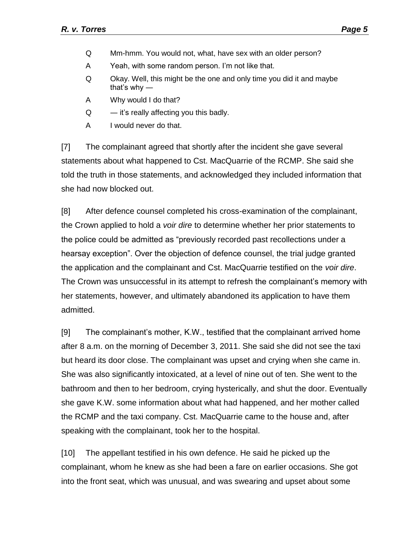- Q Mm-hmm. You would not, what, have sex with an older person?
- A Yeah, with some random person. I'm not like that.
- Q Okay. Well, this might be the one and only time you did it and maybe that's why ―
- A Why would I do that?
- $Q \rightarrow$  it's really affecting you this badly.
- A I would never do that.

[7] The complainant agreed that shortly after the incident she gave several statements about what happened to Cst. MacQuarrie of the RCMP. She said she told the truth in those statements, and acknowledged they included information that she had now blocked out.

[8] After defence counsel completed his cross-examination of the complainant, the Crown applied to hold a *voir dire* to determine whether her prior statements to the police could be admitted as "previously recorded past recollections under a hearsay exception". Over the objection of defence counsel, the trial judge granted the application and the complainant and Cst. MacQuarrie testified on the *voir dire*. The Crown was unsuccessful in its attempt to refresh the complainant's memory with her statements, however, and ultimately abandoned its application to have them admitted.

[9] The complainant's mother, K.W., testified that the complainant arrived home after 8 a.m. on the morning of December 3, 2011. She said she did not see the taxi but heard its door close. The complainant was upset and crying when she came in. She was also significantly intoxicated, at a level of nine out of ten. She went to the bathroom and then to her bedroom, crying hysterically, and shut the door. Eventually she gave K.W. some information about what had happened, and her mother called the RCMP and the taxi company. Cst. MacQuarrie came to the house and, after speaking with the complainant, took her to the hospital.

[10] The appellant testified in his own defence. He said he picked up the complainant, whom he knew as she had been a fare on earlier occasions. She got into the front seat, which was unusual, and was swearing and upset about some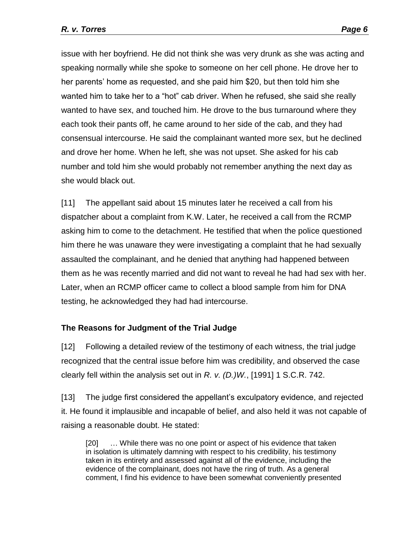issue with her boyfriend. He did not think she was very drunk as she was acting and speaking normally while she spoke to someone on her cell phone. He drove her to her parents' home as requested, and she paid him \$20, but then told him she wanted him to take her to a "hot" cab driver. When he refused, she said she really wanted to have sex, and touched him. He drove to the bus turnaround where they each took their pants off, he came around to her side of the cab, and they had consensual intercourse. He said the complainant wanted more sex, but he declined and drove her home. When he left, she was not upset. She asked for his cab number and told him she would probably not remember anything the next day as she would black out.

[11] The appellant said about 15 minutes later he received a call from his dispatcher about a complaint from K.W. Later, he received a call from the RCMP asking him to come to the detachment. He testified that when the police questioned him there he was unaware they were investigating a complaint that he had sexually assaulted the complainant, and he denied that anything had happened between them as he was recently married and did not want to reveal he had had sex with her. Later, when an RCMP officer came to collect a blood sample from him for DNA testing, he acknowledged they had had intercourse.

## **The Reasons for Judgment of the Trial Judge**

[12] Following a detailed review of the testimony of each witness, the trial judge recognized that the central issue before him was credibility, and observed the case clearly fell within the analysis set out in *R. v. (D.)W.*, [1991] 1 S.C.R. 742.

[13] The judge first considered the appellant's exculpatory evidence, and rejected it. He found it implausible and incapable of belief, and also held it was not capable of raising a reasonable doubt. He stated:

[20] ... While there was no one point or aspect of his evidence that taken in isolation is ultimately damning with respect to his credibility, his testimony taken in its entirety and assessed against all of the evidence, including the evidence of the complainant, does not have the ring of truth. As a general comment, I find his evidence to have been somewhat conveniently presented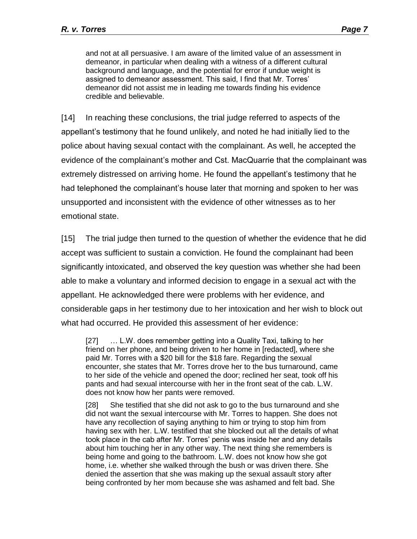and not at all persuasive. I am aware of the limited value of an assessment in demeanor, in particular when dealing with a witness of a different cultural background and language, and the potential for error if undue weight is assigned to demeanor assessment. This said, I find that Mr. Torres' demeanor did not assist me in leading me towards finding his evidence credible and believable.

[14] In reaching these conclusions, the trial judge referred to aspects of the appellant's testimony that he found unlikely, and noted he had initially lied to the police about having sexual contact with the complainant. As well, he accepted the evidence of the complainant's mother and Cst. MacQuarrie that the complainant was extremely distressed on arriving home. He found the appellant's testimony that he had telephoned the complainant's house later that morning and spoken to her was unsupported and inconsistent with the evidence of other witnesses as to her emotional state.

[15] The trial judge then turned to the question of whether the evidence that he did accept was sufficient to sustain a conviction. He found the complainant had been significantly intoxicated, and observed the key question was whether she had been able to make a voluntary and informed decision to engage in a sexual act with the appellant. He acknowledged there were problems with her evidence, and considerable gaps in her testimony due to her intoxication and her wish to block out what had occurred. He provided this assessment of her evidence:

[27] ... L.W. does remember getting into a Quality Taxi, talking to her friend on her phone, and being driven to her home in [redacted], where she paid Mr. Torres with a \$20 bill for the \$18 fare. Regarding the sexual encounter, she states that Mr. Torres drove her to the bus turnaround, came to her side of the vehicle and opened the door; reclined her seat, took off his pants and had sexual intercourse with her in the front seat of the cab. L.W. does not know how her pants were removed.

[28] She testified that she did not ask to go to the bus turnaround and she did not want the sexual intercourse with Mr. Torres to happen. She does not have any recollection of saying anything to him or trying to stop him from having sex with her. L.W. testified that she blocked out all the details of what took place in the cab after Mr. Torres' penis was inside her and any details about him touching her in any other way. The next thing she remembers is being home and going to the bathroom. L.W. does not know how she got home, i.e. whether she walked through the bush or was driven there. She denied the assertion that she was making up the sexual assault story after being confronted by her mom because she was ashamed and felt bad. She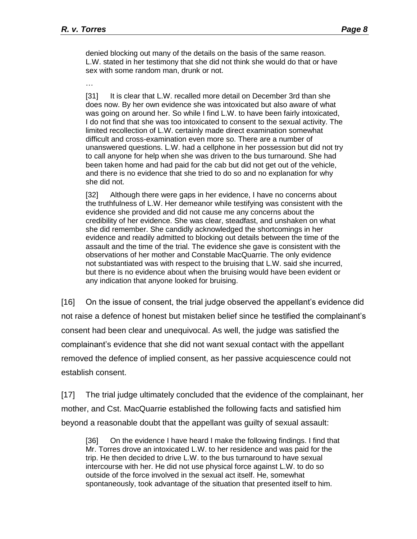denied blocking out many of the details on the basis of the same reason. L.W. stated in her testimony that she did not think she would do that or have sex with some random man, drunk or not.

…

[31] It is clear that L.W. recalled more detail on December 3rd than she does now. By her own evidence she was intoxicated but also aware of what was going on around her. So while I find L.W. to have been fairly intoxicated, I do not find that she was too intoxicated to consent to the sexual activity. The limited recollection of L.W. certainly made direct examination somewhat difficult and cross-examination even more so. There are a number of unanswered questions. L.W. had a cellphone in her possession but did not try to call anyone for help when she was driven to the bus turnaround. She had been taken home and had paid for the cab but did not get out of the vehicle, and there is no evidence that she tried to do so and no explanation for why she did not.

[32] Although there were gaps in her evidence, I have no concerns about the truthfulness of L.W. Her demeanor while testifying was consistent with the evidence she provided and did not cause me any concerns about the credibility of her evidence. She was clear, steadfast, and unshaken on what she did remember. She candidly acknowledged the shortcomings in her evidence and readily admitted to blocking out details between the time of the assault and the time of the trial. The evidence she gave is consistent with the observations of her mother and Constable MacQuarrie. The only evidence not substantiated was with respect to the bruising that L.W. said she incurred, but there is no evidence about when the bruising would have been evident or any indication that anyone looked for bruising.

[16] On the issue of consent, the trial judge observed the appellant's evidence did not raise a defence of honest but mistaken belief since he testified the complainant's consent had been clear and unequivocal. As well, the judge was satisfied the complainant's evidence that she did not want sexual contact with the appellant removed the defence of implied consent, as her passive acquiescence could not establish consent.

[17] The trial judge ultimately concluded that the evidence of the complainant, her mother, and Cst. MacQuarrie established the following facts and satisfied him beyond a reasonable doubt that the appellant was guilty of sexual assault:

[36] On the evidence I have heard I make the following findings. I find that Mr. Torres drove an intoxicated L.W. to her residence and was paid for the trip. He then decided to drive L.W. to the bus turnaround to have sexual intercourse with her. He did not use physical force against L.W. to do so outside of the force involved in the sexual act itself. He, somewhat spontaneously, took advantage of the situation that presented itself to him.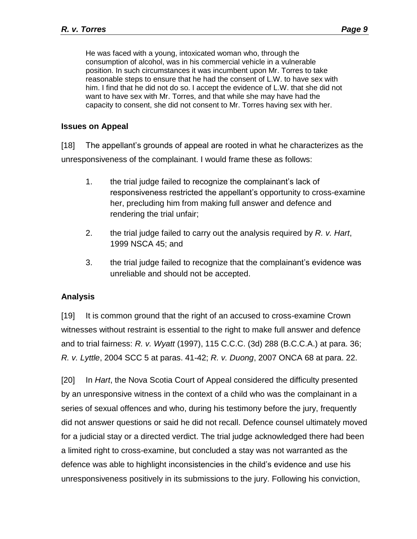He was faced with a young, intoxicated woman who, through the consumption of alcohol, was in his commercial vehicle in a vulnerable position. In such circumstances it was incumbent upon Mr. Torres to take reasonable steps to ensure that he had the consent of L.W. to have sex with him. I find that he did not do so. I accept the evidence of L.W. that she did not want to have sex with Mr. Torres, and that while she may have had the capacity to consent, she did not consent to Mr. Torres having sex with her.

### **Issues on Appeal**

[18] The appellant's grounds of appeal are rooted in what he characterizes as the unresponsiveness of the complainant. I would frame these as follows:

- 1. the trial judge failed to recognize the complainant's lack of responsiveness restricted the appellant's opportunity to cross-examine her, precluding him from making full answer and defence and rendering the trial unfair;
- 2. the trial judge failed to carry out the analysis required by *R. v. Hart*, 1999 NSCA 45; and
- 3. the trial judge failed to recognize that the complainant's evidence was unreliable and should not be accepted.

## **Analysis**

[19] It is common ground that the right of an accused to cross-examine Crown witnesses without restraint is essential to the right to make full answer and defence and to trial fairness: *R. v. Wyatt* (1997), 115 C.C.C. (3d) 288 (B.C.C.A.) at para. 36; *R. v. Lyttle*, 2004 SCC 5 at paras. 41-42; *R. v. Duong*, 2007 ONCA 68 at para. 22.

[20] In *Hart*, the Nova Scotia Court of Appeal considered the difficulty presented by an unresponsive witness in the context of a child who was the complainant in a series of sexual offences and who, during his testimony before the jury, frequently did not answer questions or said he did not recall. Defence counsel ultimately moved for a judicial stay or a directed verdict. The trial judge acknowledged there had been a limited right to cross-examine, but concluded a stay was not warranted as the defence was able to highlight inconsistencies in the child's evidence and use his unresponsiveness positively in its submissions to the jury. Following his conviction,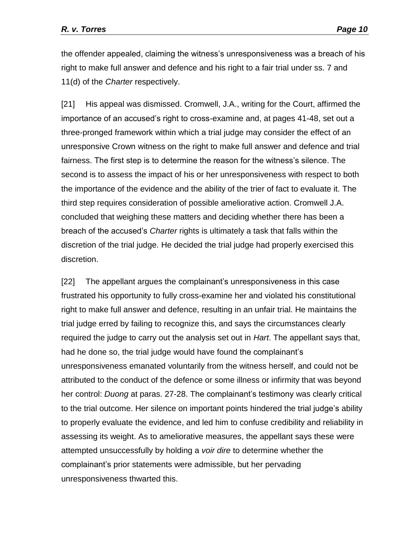the offender appealed, claiming the witness's unresponsiveness was a breach of his right to make full answer and defence and his right to a fair trial under ss. 7 and 11(d) of the *Charter* respectively.

[21] His appeal was dismissed. Cromwell, J.A., writing for the Court, affirmed the importance of an accused's right to cross-examine and, at pages 41-48, set out a three-pronged framework within which a trial judge may consider the effect of an unresponsive Crown witness on the right to make full answer and defence and trial fairness. The first step is to determine the reason for the witness's silence. The second is to assess the impact of his or her unresponsiveness with respect to both the importance of the evidence and the ability of the trier of fact to evaluate it. The third step requires consideration of possible ameliorative action. Cromwell J.A. concluded that weighing these matters and deciding whether there has been a breach of the accused's *Charter* rights is ultimately a task that falls within the discretion of the trial judge. He decided the trial judge had properly exercised this discretion.

[22] The appellant argues the complainant's unresponsiveness in this case frustrated his opportunity to fully cross-examine her and violated his constitutional right to make full answer and defence, resulting in an unfair trial. He maintains the trial judge erred by failing to recognize this, and says the circumstances clearly required the judge to carry out the analysis set out in *Hart*. The appellant says that, had he done so, the trial judge would have found the complainant's unresponsiveness emanated voluntarily from the witness herself, and could not be attributed to the conduct of the defence or some illness or infirmity that was beyond her control: *Duong* at paras. 27-28. The complainant's testimony was clearly critical to the trial outcome. Her silence on important points hindered the trial judge's ability to properly evaluate the evidence, and led him to confuse credibility and reliability in assessing its weight. As to ameliorative measures, the appellant says these were attempted unsuccessfully by holding a *voir dire* to determine whether the complainant's prior statements were admissible, but her pervading unresponsiveness thwarted this.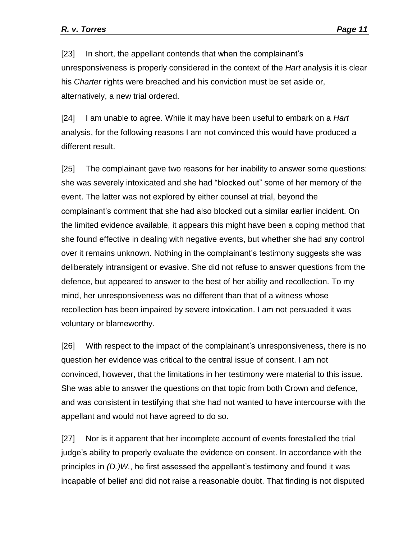[23] In short, the appellant contends that when the complainant's unresponsiveness is properly considered in the context of the *Hart* analysis it is clear his *Charter* rights were breached and his conviction must be set aside or, alternatively, a new trial ordered.

[24] I am unable to agree. While it may have been useful to embark on a *Hart*  analysis, for the following reasons I am not convinced this would have produced a different result.

[25] The complainant gave two reasons for her inability to answer some questions: she was severely intoxicated and she had "blocked out" some of her memory of the event. The latter was not explored by either counsel at trial, beyond the complainant's comment that she had also blocked out a similar earlier incident. On the limited evidence available, it appears this might have been a coping method that she found effective in dealing with negative events, but whether she had any control over it remains unknown. Nothing in the complainant's testimony suggests she was deliberately intransigent or evasive. She did not refuse to answer questions from the defence, but appeared to answer to the best of her ability and recollection. To my mind, her unresponsiveness was no different than that of a witness whose recollection has been impaired by severe intoxication. I am not persuaded it was voluntary or blameworthy.

[26] With respect to the impact of the complainant's unresponsiveness, there is no question her evidence was critical to the central issue of consent. I am not convinced, however, that the limitations in her testimony were material to this issue. She was able to answer the questions on that topic from both Crown and defence, and was consistent in testifying that she had not wanted to have intercourse with the appellant and would not have agreed to do so.

[27] Nor is it apparent that her incomplete account of events forestalled the trial judge's ability to properly evaluate the evidence on consent. In accordance with the principles in *(D.)W.*, he first assessed the appellant's testimony and found it was incapable of belief and did not raise a reasonable doubt. That finding is not disputed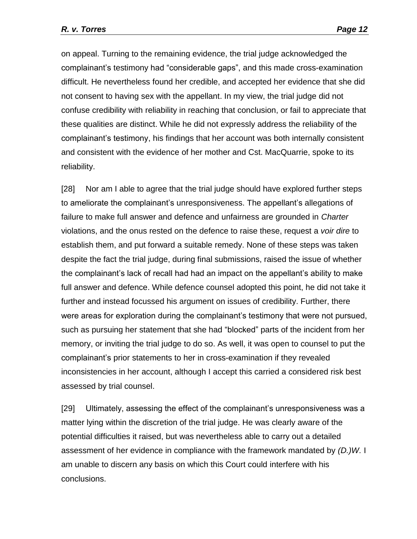on appeal. Turning to the remaining evidence, the trial judge acknowledged the complainant's testimony had "considerable gaps", and this made cross-examination difficult. He nevertheless found her credible, and accepted her evidence that she did not consent to having sex with the appellant. In my view, the trial judge did not confuse credibility with reliability in reaching that conclusion, or fail to appreciate that these qualities are distinct. While he did not expressly address the reliability of the complainant's testimony, his findings that her account was both internally consistent and consistent with the evidence of her mother and Cst. MacQuarrie, spoke to its reliability.

[28] Nor am I able to agree that the trial judge should have explored further steps to ameliorate the complainant's unresponsiveness. The appellant's allegations of failure to make full answer and defence and unfairness are grounded in *Charter*  violations, and the onus rested on the defence to raise these, request a *voir dire* to establish them, and put forward a suitable remedy. None of these steps was taken despite the fact the trial judge, during final submissions, raised the issue of whether the complainant's lack of recall had had an impact on the appellant's ability to make full answer and defence. While defence counsel adopted this point, he did not take it further and instead focussed his argument on issues of credibility. Further, there were areas for exploration during the complainant's testimony that were not pursued, such as pursuing her statement that she had "blocked" parts of the incident from her memory, or inviting the trial judge to do so. As well, it was open to counsel to put the complainant's prior statements to her in cross-examination if they revealed inconsistencies in her account, although I accept this carried a considered risk best assessed by trial counsel.

[29] Ultimately, assessing the effect of the complainant's unresponsiveness was a matter lying within the discretion of the trial judge. He was clearly aware of the potential difficulties it raised, but was nevertheless able to carry out a detailed assessment of her evidence in compliance with the framework mandated by *(D.)W.* I am unable to discern any basis on which this Court could interfere with his conclusions.